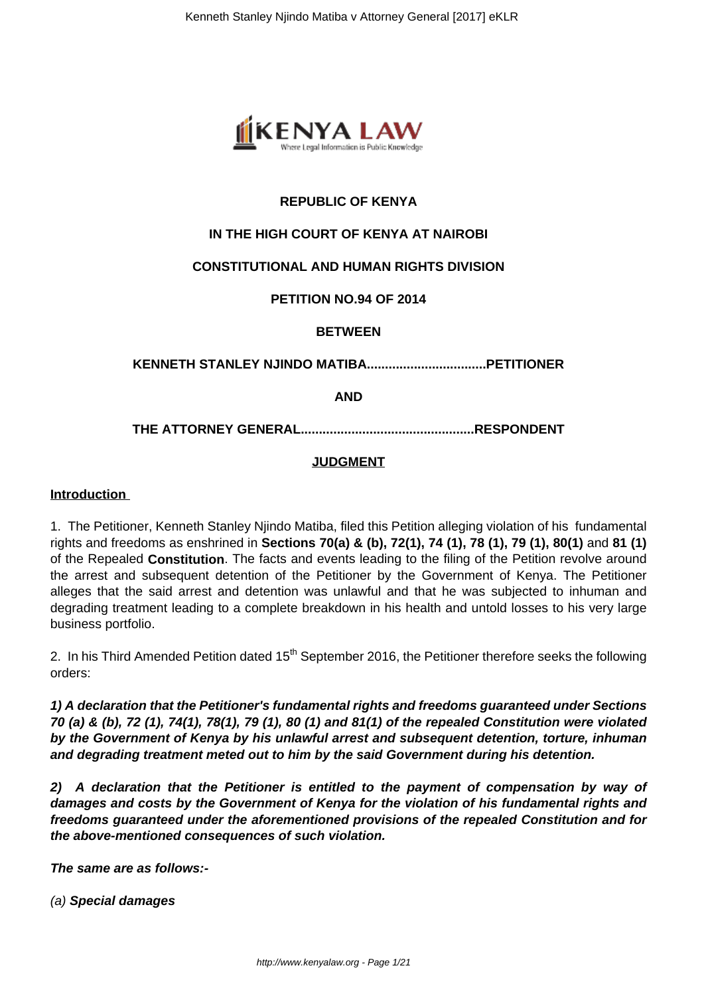

# **REPUBLIC OF KENYA**

# **IN THE HIGH COURT OF KENYA AT NAIROBI**

# **CONSTITUTIONAL AND HUMAN RIGHTS DIVISION**

#### **PETITION NO.94 OF 2014**

#### **BETWEEN**

#### **KENNETH STANLEY NJINDO MATIBA.................................PETITIONER**

**AND**

# **THE ATTORNEY GENERAL................................................RESPONDENT**

#### **JUDGMENT**

#### **Introduction**

1. The Petitioner, Kenneth Stanley Njindo Matiba, filed this Petition alleging violation of his fundamental rights and freedoms as enshrined in **Sections 70(a) & (b), 72(1), 74 (1), 78 (1), 79 (1), 80(1)** and **81 (1)** of the Repealed **Constitution**. The facts and events leading to the filing of the Petition revolve around the arrest and subsequent detention of the Petitioner by the Government of Kenya. The Petitioner alleges that the said arrest and detention was unlawful and that he was subjected to inhuman and degrading treatment leading to a complete breakdown in his health and untold losses to his very large business portfolio.

2. In his Third Amended Petition dated 15<sup>th</sup> September 2016, the Petitioner therefore seeks the following orders:

**1) A declaration that the Petitioner's fundamental rights and freedoms guaranteed under Sections 70 (a) & (b), 72 (1), 74(1), 78(1), 79 (1), 80 (1) and 81(1) of the repealed Constitution were violated by the Government of Kenya by his unlawful arrest and subsequent detention, torture, inhuman and degrading treatment meted out to him by the said Government during his detention.**

**2) A declaration that the Petitioner is entitled to the payment of compensation by way of damages and costs by the Government of Kenya for the violation of his fundamental rights and freedoms guaranteed under the aforementioned provisions of the repealed Constitution and for the above-mentioned consequences of such violation.**

**The same are as follows:-**

(a) **Special damages**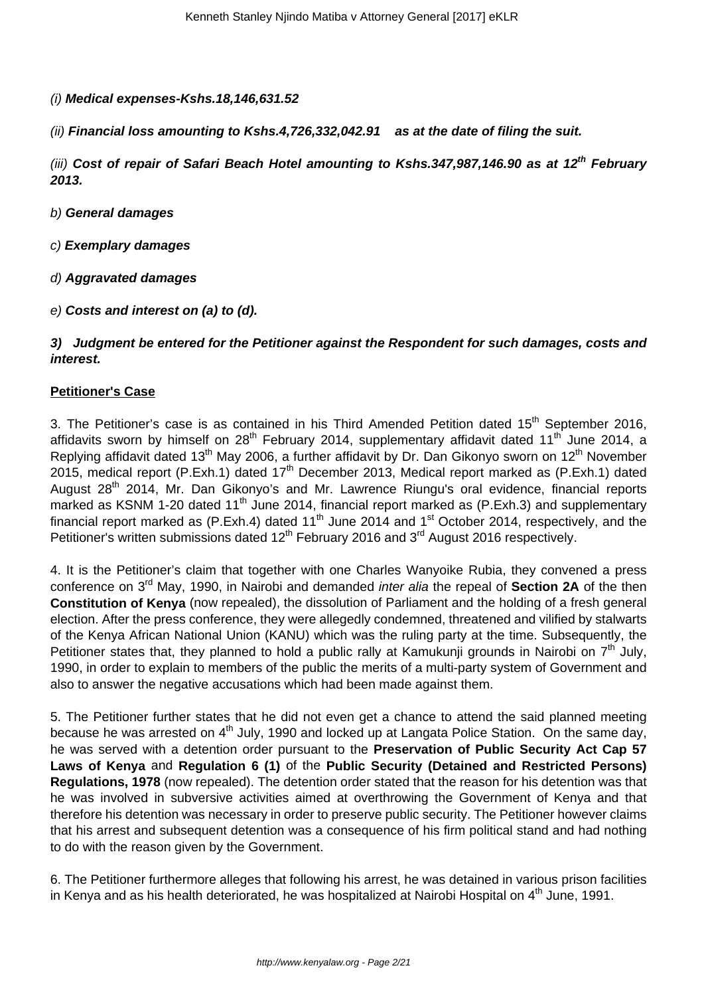(i) **Medical expenses-Kshs.18,146,631.52**

(ii) **Financial loss amounting to Kshs.4,726,332,042.91 as at the date of filing the suit.**

(iii) **Cost of repair of Safari Beach Hotel amounting to Kshs.347,987,146.90 as at 12th February 2013.**

- b) **General damages**
- c) **Exemplary damages**
- d) **Aggravated damages**
- e) **Costs and interest on (a) to (d).**

# **3) Judgment be entered for the Petitioner against the Respondent for such damages, costs and interest.**

#### **Petitioner's Case**

3. The Petitioner's case is as contained in his Third Amended Petition dated 15<sup>th</sup> September 2016, affidavits sworn by himself on  $28<sup>th</sup>$  February 2014, supplementary affidavit dated 11<sup>th</sup> June 2014, a Replying affidavit dated 13<sup>th</sup> May 2006, a further affidavit by Dr. Dan Gikonyo sworn on 12<sup>th</sup> November 2015, medical report (P.Exh.1) dated  $17<sup>th</sup>$  December 2013, Medical report marked as (P.Exh.1) dated August 28<sup>th</sup> 2014, Mr. Dan Gikonyo's and Mr. Lawrence Riungu's oral evidence, financial reports marked as KSNM 1-20 dated 11<sup>th</sup> June 2014, financial report marked as (P.Exh.3) and supplementary financial report marked as (P.Exh.4) dated  $11<sup>th</sup>$  June 2014 and  $1<sup>st</sup>$  October 2014, respectively, and the Petitioner's written submissions dated 12<sup>th</sup> February 2016 and 3<sup>rd</sup> August 2016 respectively.

4. It is the Petitioner's claim that together with one Charles Wanyoike Rubia, they convened a press conference on 3rd May, 1990, in Nairobi and demanded inter alia the repeal of **Section 2A** of the then **Constitution of Kenya** (now repealed), the dissolution of Parliament and the holding of a fresh general election. After the press conference, they were allegedly condemned, threatened and vilified by stalwarts of the Kenya African National Union (KANU) which was the ruling party at the time. Subsequently, the Petitioner states that, they planned to hold a public rally at Kamukunji grounds in Nairobi on  $7<sup>th</sup>$  July, 1990, in order to explain to members of the public the merits of a multi-party system of Government and also to answer the negative accusations which had been made against them.

5. The Petitioner further states that he did not even get a chance to attend the said planned meeting because he was arrested on  $4<sup>th</sup>$  July, 1990 and locked up at Langata Police Station. On the same day, he was served with a detention order pursuant to the **Preservation of Public Security Act Cap 57 Laws of Kenya** and **Regulation 6 (1)** of the **Public Security (Detained and Restricted Persons) Regulations, 1978** (now repealed). The detention order stated that the reason for his detention was that he was involved in subversive activities aimed at overthrowing the Government of Kenya and that therefore his detention was necessary in order to preserve public security. The Petitioner however claims that his arrest and subsequent detention was a consequence of his firm political stand and had nothing to do with the reason given by the Government.

6. The Petitioner furthermore alleges that following his arrest, he was detained in various prison facilities in Kenya and as his health deteriorated, he was hospitalized at Nairobi Hospital on  $4<sup>th</sup>$  June, 1991.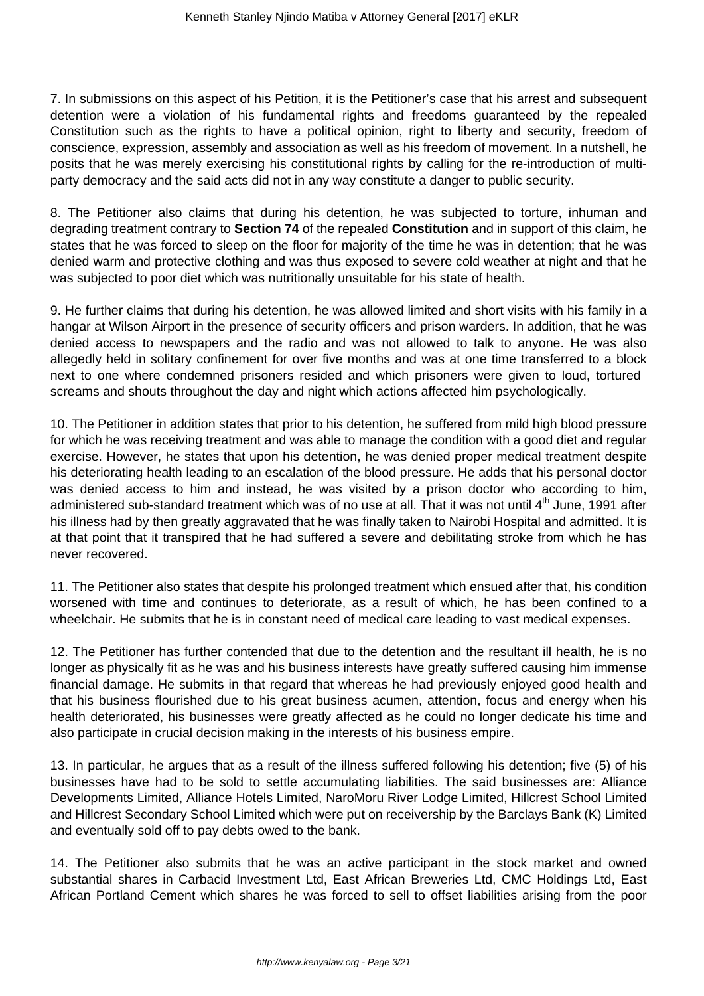7. In submissions on this aspect of his Petition, it is the Petitioner's case that his arrest and subsequent detention were a violation of his fundamental rights and freedoms guaranteed by the repealed Constitution such as the rights to have a political opinion, right to liberty and security, freedom of conscience, expression, assembly and association as well as his freedom of movement. In a nutshell, he posits that he was merely exercising his constitutional rights by calling for the re-introduction of multiparty democracy and the said acts did not in any way constitute a danger to public security.

8. The Petitioner also claims that during his detention, he was subjected to torture, inhuman and degrading treatment contrary to **Section 74** of the repealed **Constitution** and in support of this claim, he states that he was forced to sleep on the floor for majority of the time he was in detention; that he was denied warm and protective clothing and was thus exposed to severe cold weather at night and that he was subjected to poor diet which was nutritionally unsuitable for his state of health.

9. He further claims that during his detention, he was allowed limited and short visits with his family in a hangar at Wilson Airport in the presence of security officers and prison warders. In addition, that he was denied access to newspapers and the radio and was not allowed to talk to anyone. He was also allegedly held in solitary confinement for over five months and was at one time transferred to a block next to one where condemned prisoners resided and which prisoners were given to loud, tortured screams and shouts throughout the day and night which actions affected him psychologically.

10. The Petitioner in addition states that prior to his detention, he suffered from mild high blood pressure for which he was receiving treatment and was able to manage the condition with a good diet and regular exercise. However, he states that upon his detention, he was denied proper medical treatment despite his deteriorating health leading to an escalation of the blood pressure. He adds that his personal doctor was denied access to him and instead, he was visited by a prison doctor who according to him, administered sub-standard treatment which was of no use at all. That it was not until 4<sup>th</sup> June, 1991 after his illness had by then greatly aggravated that he was finally taken to Nairobi Hospital and admitted. It is at that point that it transpired that he had suffered a severe and debilitating stroke from which he has never recovered.

11. The Petitioner also states that despite his prolonged treatment which ensued after that, his condition worsened with time and continues to deteriorate, as a result of which, he has been confined to a wheelchair. He submits that he is in constant need of medical care leading to vast medical expenses.

12. The Petitioner has further contended that due to the detention and the resultant ill health, he is no longer as physically fit as he was and his business interests have greatly suffered causing him immense financial damage. He submits in that regard that whereas he had previously enjoyed good health and that his business flourished due to his great business acumen, attention, focus and energy when his health deteriorated, his businesses were greatly affected as he could no longer dedicate his time and also participate in crucial decision making in the interests of his business empire.

13. In particular, he argues that as a result of the illness suffered following his detention; five (5) of his businesses have had to be sold to settle accumulating liabilities. The said businesses are: Alliance Developments Limited, Alliance Hotels Limited, NaroMoru River Lodge Limited, Hillcrest School Limited and Hillcrest Secondary School Limited which were put on receivership by the Barclays Bank (K) Limited and eventually sold off to pay debts owed to the bank.

14. The Petitioner also submits that he was an active participant in the stock market and owned substantial shares in Carbacid Investment Ltd, East African Breweries Ltd, CMC Holdings Ltd, East African Portland Cement which shares he was forced to sell to offset liabilities arising from the poor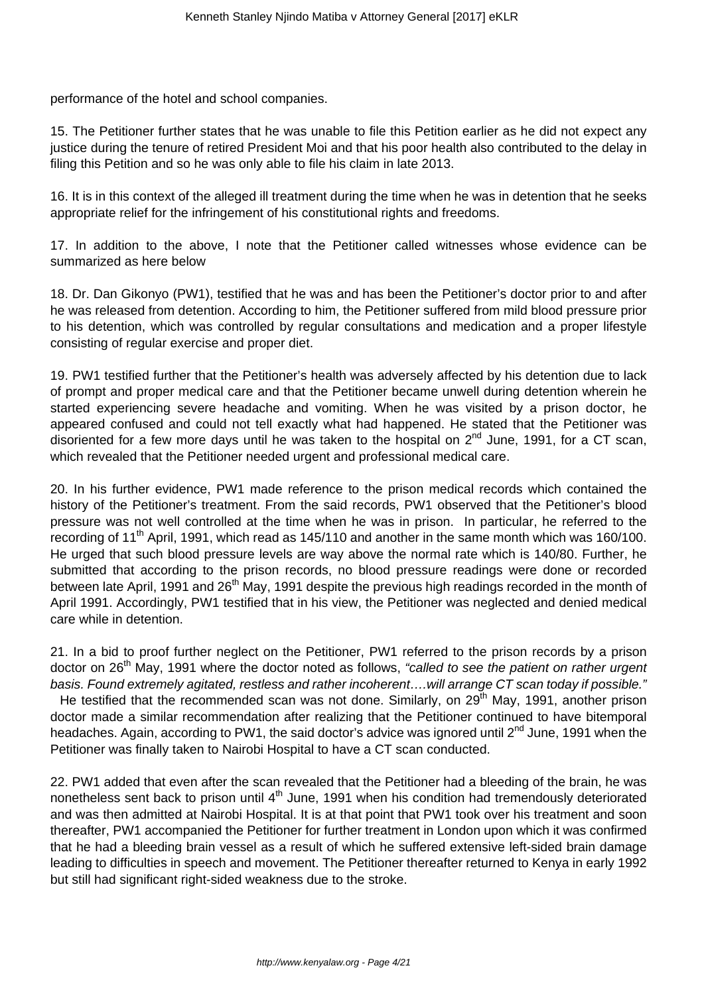performance of the hotel and school companies.

15. The Petitioner further states that he was unable to file this Petition earlier as he did not expect any justice during the tenure of retired President Moi and that his poor health also contributed to the delay in filing this Petition and so he was only able to file his claim in late 2013.

16. It is in this context of the alleged ill treatment during the time when he was in detention that he seeks appropriate relief for the infringement of his constitutional rights and freedoms.

17. In addition to the above, I note that the Petitioner called witnesses whose evidence can be summarized as here below

18. Dr. Dan Gikonyo (PW1), testified that he was and has been the Petitioner's doctor prior to and after he was released from detention. According to him, the Petitioner suffered from mild blood pressure prior to his detention, which was controlled by regular consultations and medication and a proper lifestyle consisting of regular exercise and proper diet.

19. PW1 testified further that the Petitioner's health was adversely affected by his detention due to lack of prompt and proper medical care and that the Petitioner became unwell during detention wherein he started experiencing severe headache and vomiting. When he was visited by a prison doctor, he appeared confused and could not tell exactly what had happened. He stated that the Petitioner was disoriented for a few more days until he was taken to the hospital on  $2^{nd}$  June, 1991, for a CT scan, which revealed that the Petitioner needed urgent and professional medical care.

20. In his further evidence, PW1 made reference to the prison medical records which contained the history of the Petitioner's treatment. From the said records, PW1 observed that the Petitioner's blood pressure was not well controlled at the time when he was in prison. In particular, he referred to the recording of 11<sup>th</sup> April, 1991, which read as 145/110 and another in the same month which was 160/100. He urged that such blood pressure levels are way above the normal rate which is 140/80. Further, he submitted that according to the prison records, no blood pressure readings were done or recorded between late April, 1991 and 26<sup>th</sup> May, 1991 despite the previous high readings recorded in the month of April 1991. Accordingly, PW1 testified that in his view, the Petitioner was neglected and denied medical care while in detention.

21. In a bid to proof further neglect on the Petitioner, PW1 referred to the prison records by a prison doctor on 26<sup>th</sup> May, 1991 where the doctor noted as follows, "called to see the patient on rather urgent basis. Found extremely agitated, restless and rather incoherent...will arrange CT scan today if possible."

He testified that the recommended scan was not done. Similarly, on 29<sup>th</sup> May, 1991, another prison doctor made a similar recommendation after realizing that the Petitioner continued to have bitemporal headaches. Again, according to PW1, the said doctor's advice was ignored until 2<sup>nd</sup> June, 1991 when the Petitioner was finally taken to Nairobi Hospital to have a CT scan conducted.

22. PW1 added that even after the scan revealed that the Petitioner had a bleeding of the brain, he was nonetheless sent back to prison until 4<sup>th</sup> June, 1991 when his condition had tremendously deteriorated and was then admitted at Nairobi Hospital. It is at that point that PW1 took over his treatment and soon thereafter, PW1 accompanied the Petitioner for further treatment in London upon which it was confirmed that he had a bleeding brain vessel as a result of which he suffered extensive left-sided brain damage leading to difficulties in speech and movement. The Petitioner thereafter returned to Kenya in early 1992 but still had significant right-sided weakness due to the stroke.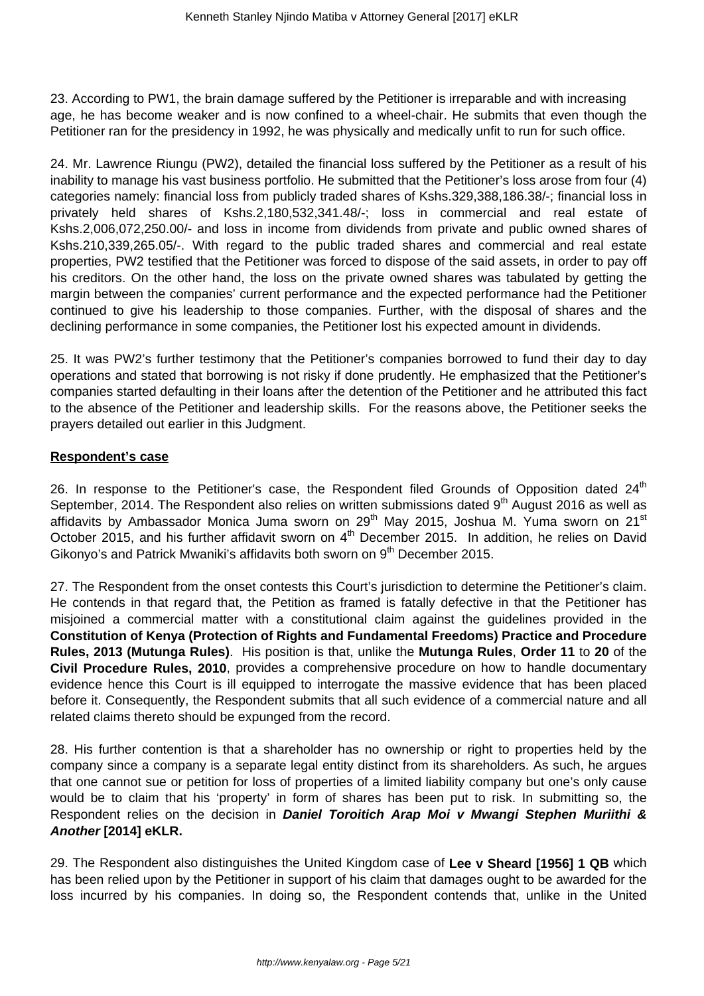23. According to PW1, the brain damage suffered by the Petitioner is irreparable and with increasing age, he has become weaker and is now confined to a wheel-chair. He submits that even though the Petitioner ran for the presidency in 1992, he was physically and medically unfit to run for such office.

24. Mr. Lawrence Riungu (PW2), detailed the financial loss suffered by the Petitioner as a result of his inability to manage his vast business portfolio. He submitted that the Petitioner's loss arose from four (4) categories namely: financial loss from publicly traded shares of Kshs.329,388,186.38/-; financial loss in privately held shares of Kshs.2,180,532,341.48/-; loss in commercial and real estate of Kshs.2,006,072,250.00/- and loss in income from dividends from private and public owned shares of Kshs.210,339,265.05/-. With regard to the public traded shares and commercial and real estate properties, PW2 testified that the Petitioner was forced to dispose of the said assets, in order to pay off his creditors. On the other hand, the loss on the private owned shares was tabulated by getting the margin between the companies' current performance and the expected performance had the Petitioner continued to give his leadership to those companies. Further, with the disposal of shares and the declining performance in some companies, the Petitioner lost his expected amount in dividends.

25. It was PW2's further testimony that the Petitioner's companies borrowed to fund their day to day operations and stated that borrowing is not risky if done prudently. He emphasized that the Petitioner's companies started defaulting in their loans after the detention of the Petitioner and he attributed this fact to the absence of the Petitioner and leadership skills. For the reasons above, the Petitioner seeks the prayers detailed out earlier in this Judgment.

#### **Respondent's case**

26. In response to the Petitioner's case, the Respondent filed Grounds of Opposition dated  $24<sup>th</sup>$ September, 2014. The Respondent also relies on written submissions dated 9<sup>th</sup> August 2016 as well as affidavits by Ambassador Monica Juma sworn on  $29<sup>th</sup>$  May 2015, Joshua M. Yuma sworn on  $21<sup>st</sup>$ October 2015, and his further affidavit sworn on 4<sup>th</sup> December 2015. In addition, he relies on David Gikonyo's and Patrick Mwaniki's affidavits both sworn on 9<sup>th</sup> December 2015.

27. The Respondent from the onset contests this Court's jurisdiction to determine the Petitioner's claim. He contends in that regard that, the Petition as framed is fatally defective in that the Petitioner has misjoined a commercial matter with a constitutional claim against the guidelines provided in the **Constitution of Kenya (Protection of Rights and Fundamental Freedoms) Practice and Procedure Rules, 2013 (Mutunga Rules)**. His position is that, unlike the **Mutunga Rules**, **Order 11** to **20** of the **Civil Procedure Rules, 2010**, provides a comprehensive procedure on how to handle documentary evidence hence this Court is ill equipped to interrogate the massive evidence that has been placed before it. Consequently, the Respondent submits that all such evidence of a commercial nature and all related claims thereto should be expunged from the record.

28. His further contention is that a shareholder has no ownership or right to properties held by the company since a company is a separate legal entity distinct from its shareholders. As such, he argues that one cannot sue or petition for loss of properties of a limited liability company but one's only cause would be to claim that his 'property' in form of shares has been put to risk. In submitting so, the Respondent relies on the decision in **Daniel Toroitich Arap Moi v Mwangi Stephen Muriithi & Another [2014] eKLR.**

29. The Respondent also distinguishes the United Kingdom case of **Lee v Sheard [1956] 1 QB** which has been relied upon by the Petitioner in support of his claim that damages ought to be awarded for the loss incurred by his companies. In doing so, the Respondent contends that, unlike in the United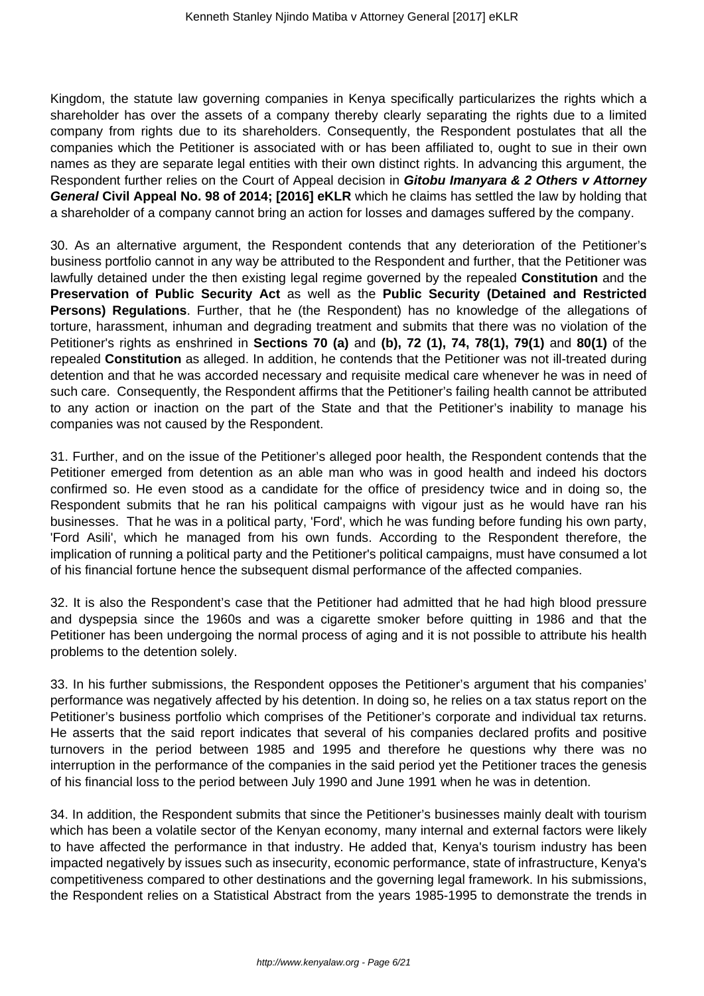Kingdom, the statute law governing companies in Kenya specifically particularizes the rights which a shareholder has over the assets of a company thereby clearly separating the rights due to a limited company from rights due to its shareholders. Consequently, the Respondent postulates that all the companies which the Petitioner is associated with or has been affiliated to, ought to sue in their own names as they are separate legal entities with their own distinct rights. In advancing this argument, the Respondent further relies on the Court of Appeal decision in **Gitobu Imanyara & 2 Others v Attorney General Civil Appeal No. 98 of 2014; [2016] eKLR** which he claims has settled the law by holding that a shareholder of a company cannot bring an action for losses and damages suffered by the company.

30. As an alternative argument, the Respondent contends that any deterioration of the Petitioner's business portfolio cannot in any way be attributed to the Respondent and further, that the Petitioner was lawfully detained under the then existing legal regime governed by the repealed **Constitution** and the **Preservation of Public Security Act** as well as the **Public Security (Detained and Restricted Persons) Regulations**. Further, that he (the Respondent) has no knowledge of the allegations of torture, harassment, inhuman and degrading treatment and submits that there was no violation of the Petitioner's rights as enshrined in **Sections 70 (a)** and **(b), 72 (1), 74, 78(1), 79(1)** and **80(1)** of the repealed **Constitution** as alleged. In addition, he contends that the Petitioner was not ill-treated during detention and that he was accorded necessary and requisite medical care whenever he was in need of such care. Consequently, the Respondent affirms that the Petitioner's failing health cannot be attributed to any action or inaction on the part of the State and that the Petitioner's inability to manage his companies was not caused by the Respondent.

31. Further, and on the issue of the Petitioner's alleged poor health, the Respondent contends that the Petitioner emerged from detention as an able man who was in good health and indeed his doctors confirmed so. He even stood as a candidate for the office of presidency twice and in doing so, the Respondent submits that he ran his political campaigns with vigour just as he would have ran his businesses. That he was in a political party, 'Ford', which he was funding before funding his own party, 'Ford Asili', which he managed from his own funds. According to the Respondent therefore, the implication of running a political party and the Petitioner's political campaigns, must have consumed a lot of his financial fortune hence the subsequent dismal performance of the affected companies.

32. It is also the Respondent's case that the Petitioner had admitted that he had high blood pressure and dyspepsia since the 1960s and was a cigarette smoker before quitting in 1986 and that the Petitioner has been undergoing the normal process of aging and it is not possible to attribute his health problems to the detention solely.

33. In his further submissions, the Respondent opposes the Petitioner's argument that his companies' performance was negatively affected by his detention. In doing so, he relies on a tax status report on the Petitioner's business portfolio which comprises of the Petitioner's corporate and individual tax returns. He asserts that the said report indicates that several of his companies declared profits and positive turnovers in the period between 1985 and 1995 and therefore he questions why there was no interruption in the performance of the companies in the said period yet the Petitioner traces the genesis of his financial loss to the period between July 1990 and June 1991 when he was in detention.

34. In addition, the Respondent submits that since the Petitioner's businesses mainly dealt with tourism which has been a volatile sector of the Kenyan economy, many internal and external factors were likely to have affected the performance in that industry. He added that, Kenya's tourism industry has been impacted negatively by issues such as insecurity, economic performance, state of infrastructure, Kenya's competitiveness compared to other destinations and the governing legal framework. In his submissions, the Respondent relies on a Statistical Abstract from the years 1985-1995 to demonstrate the trends in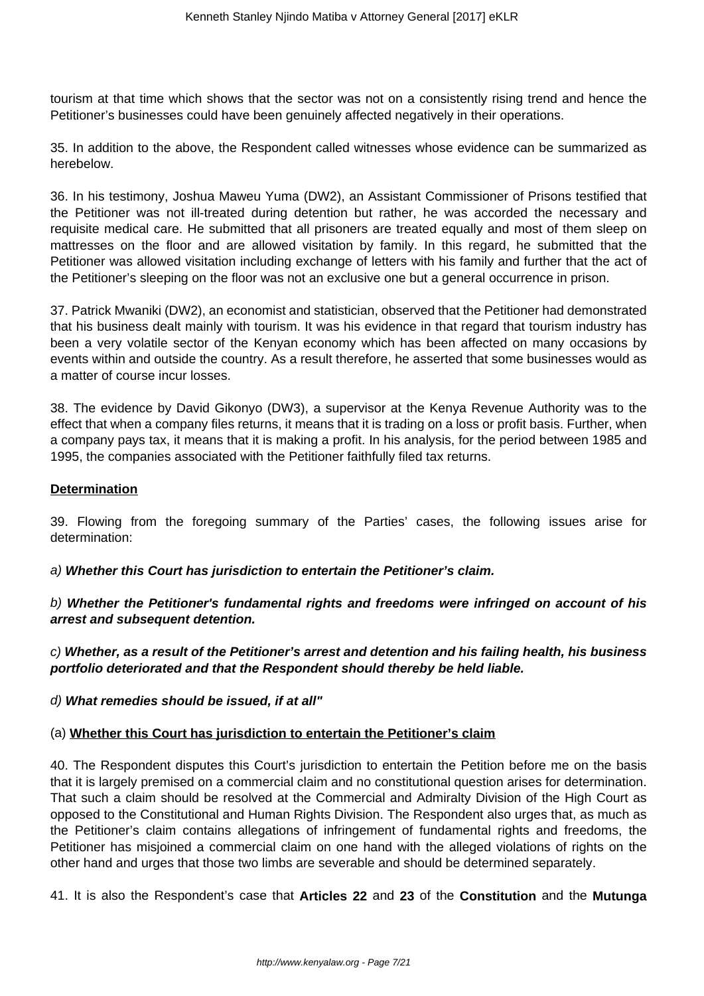tourism at that time which shows that the sector was not on a consistently rising trend and hence the Petitioner's businesses could have been genuinely affected negatively in their operations.

35. In addition to the above, the Respondent called witnesses whose evidence can be summarized as herebelow.

36. In his testimony, Joshua Maweu Yuma (DW2), an Assistant Commissioner of Prisons testified that the Petitioner was not ill-treated during detention but rather, he was accorded the necessary and requisite medical care. He submitted that all prisoners are treated equally and most of them sleep on mattresses on the floor and are allowed visitation by family. In this regard, he submitted that the Petitioner was allowed visitation including exchange of letters with his family and further that the act of the Petitioner's sleeping on the floor was not an exclusive one but a general occurrence in prison.

37. Patrick Mwaniki (DW2), an economist and statistician, observed that the Petitioner had demonstrated that his business dealt mainly with tourism. It was his evidence in that regard that tourism industry has been a very volatile sector of the Kenyan economy which has been affected on many occasions by events within and outside the country. As a result therefore, he asserted that some businesses would as a matter of course incur losses.

38. The evidence by David Gikonyo (DW3), a supervisor at the Kenya Revenue Authority was to the effect that when a company files returns, it means that it is trading on a loss or profit basis. Further, when a company pays tax, it means that it is making a profit. In his analysis, for the period between 1985 and 1995, the companies associated with the Petitioner faithfully filed tax returns.

# **Determination**

39. Flowing from the foregoing summary of the Parties' cases, the following issues arise for determination:

a) **Whether this Court has jurisdiction to entertain the Petitioner's claim.**

b) **Whether the Petitioner's fundamental rights and freedoms were infringed on account of his arrest and subsequent detention.** 

c) **Whether, as a result of the Petitioner's arrest and detention and his failing health, his business portfolio deteriorated and that the Respondent should thereby be held liable.**

d) **What remedies should be issued, if at all"**

# (a) **Whether this Court has jurisdiction to entertain the Petitioner's claim**

40. The Respondent disputes this Court's jurisdiction to entertain the Petition before me on the basis that it is largely premised on a commercial claim and no constitutional question arises for determination. That such a claim should be resolved at the Commercial and Admiralty Division of the High Court as opposed to the Constitutional and Human Rights Division. The Respondent also urges that, as much as the Petitioner's claim contains allegations of infringement of fundamental rights and freedoms, the Petitioner has misjoined a commercial claim on one hand with the alleged violations of rights on the other hand and urges that those two limbs are severable and should be determined separately.

41. It is also the Respondent's case that **Articles 22** and **23** of the **Constitution** and the **Mutunga**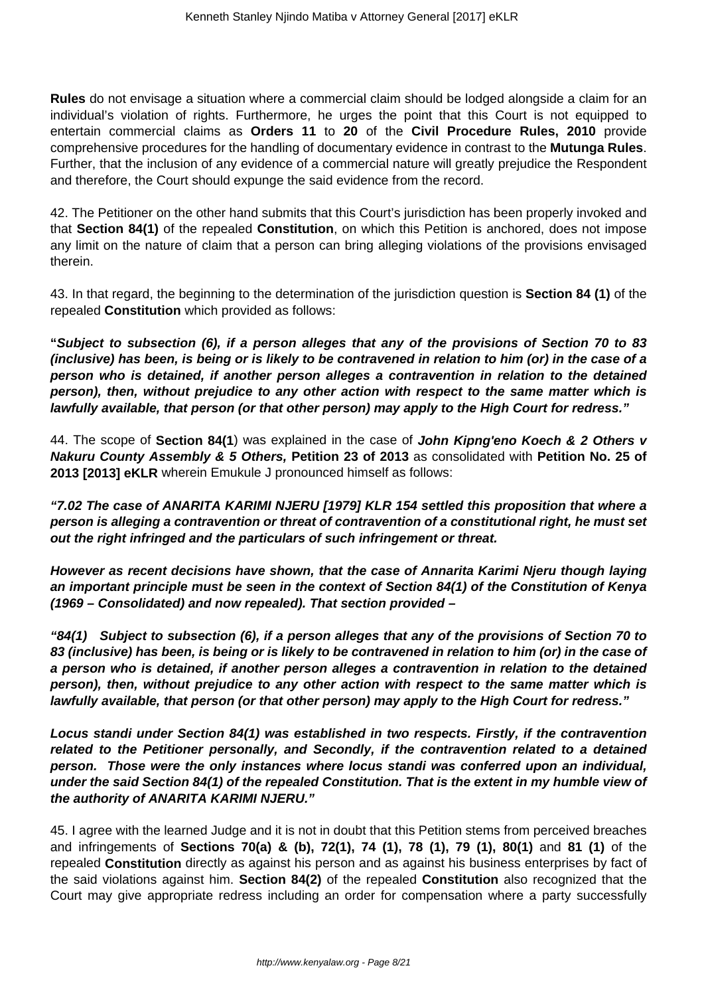**Rules** do not envisage a situation where a commercial claim should be lodged alongside a claim for an individual's violation of rights. Furthermore, he urges the point that this Court is not equipped to entertain commercial claims as **Orders 11** to **20** of the **Civil Procedure Rules, 2010** provide comprehensive procedures for the handling of documentary evidence in contrast to the **Mutunga Rules**. Further, that the inclusion of any evidence of a commercial nature will greatly prejudice the Respondent and therefore, the Court should expunge the said evidence from the record.

42. The Petitioner on the other hand submits that this Court's jurisdiction has been properly invoked and that **Section 84(1)** of the repealed **Constitution**, on which this Petition is anchored, does not impose any limit on the nature of claim that a person can bring alleging violations of the provisions envisaged therein.

43. In that regard, the beginning to the determination of the jurisdiction question is **Section 84 (1)** of the repealed **Constitution** which provided as follows:

**"Subject to subsection (6), if a person alleges that any of the provisions of Section 70 to 83 (inclusive) has been, is being or is likely to be contravened in relation to him (or) in the case of a person who is detained, if another person alleges a contravention in relation to the detained person), then, without prejudice to any other action with respect to the same matter which is lawfully available, that person (or that other person) may apply to the High Court for redress."**

44. The scope of **Section 84(1**) was explained in the case of **John Kipng'eno Koech & 2 Others v Nakuru County Assembly & 5 Others, Petition 23 of 2013** as consolidated with **Petition No. 25 of 2013 [2013] eKLR** wherein Emukule J pronounced himself as follows:

**"7.02 The case of ANARITA KARIMI NJERU [1979] KLR 154 settled this proposition that where a person is alleging a contravention or threat of contravention of a constitutional right, he must set out the right infringed and the particulars of such infringement or threat.**

**However as recent decisions have shown, that the case of Annarita Karimi Njeru though laying an important principle must be seen in the context of Section 84(1) of the Constitution of Kenya (1969 – Consolidated) and now repealed). That section provided –**

**"84(1) Subject to subsection (6), if a person alleges that any of the provisions of Section 70 to 83 (inclusive) has been, is being or is likely to be contravened in relation to him (or) in the case of a person who is detained, if another person alleges a contravention in relation to the detained person), then, without prejudice to any other action with respect to the same matter which is lawfully available, that person (or that other person) may apply to the High Court for redress."**

**Locus standi under Section 84(1) was established in two respects. Firstly, if the contravention related to the Petitioner personally, and Secondly, if the contravention related to a detained person. Those were the only instances where locus standi was conferred upon an individual, under the said Section 84(1) of the repealed Constitution. That is the extent in my humble view of the authority of ANARITA KARIMI NJERU."**

45. I agree with the learned Judge and it is not in doubt that this Petition stems from perceived breaches and infringements of **Sections 70(a) & (b), 72(1), 74 (1), 78 (1), 79 (1), 80(1)** and **81 (1)** of the repealed **Constitution** directly as against his person and as against his business enterprises by fact of the said violations against him. **Section 84(2)** of the repealed **Constitution** also recognized that the Court may give appropriate redress including an order for compensation where a party successfully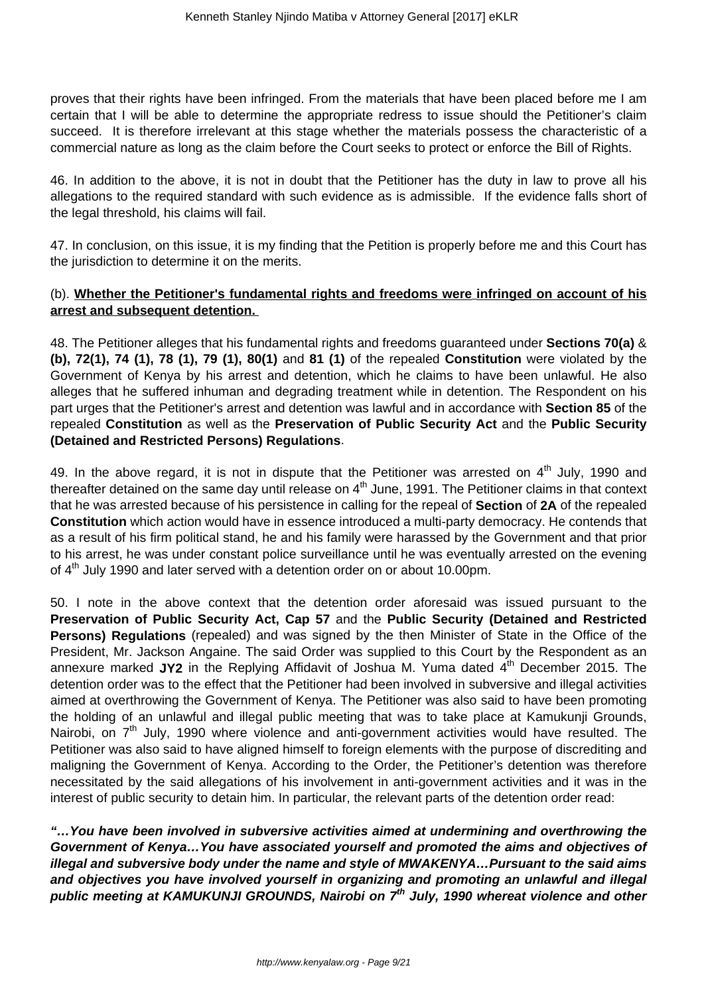proves that their rights have been infringed. From the materials that have been placed before me I am certain that I will be able to determine the appropriate redress to issue should the Petitioner's claim succeed. It is therefore irrelevant at this stage whether the materials possess the characteristic of a commercial nature as long as the claim before the Court seeks to protect or enforce the Bill of Rights.

46. In addition to the above, it is not in doubt that the Petitioner has the duty in law to prove all his allegations to the required standard with such evidence as is admissible. If the evidence falls short of the legal threshold, his claims will fail.

47. In conclusion, on this issue, it is my finding that the Petition is properly before me and this Court has the jurisdiction to determine it on the merits.

# (b). **Whether the Petitioner's fundamental rights and freedoms were infringed on account of his arrest and subsequent detention.**

48. The Petitioner alleges that his fundamental rights and freedoms guaranteed under **Sections 70(a)** & **(b), 72(1), 74 (1), 78 (1), 79 (1), 80(1)** and **81 (1)** of the repealed **Constitution** were violated by the Government of Kenya by his arrest and detention, which he claims to have been unlawful. He also alleges that he suffered inhuman and degrading treatment while in detention. The Respondent on his part urges that the Petitioner's arrest and detention was lawful and in accordance with **Section 85** of the repealed **Constitution** as well as the **Preservation of Public Security Act** and the **Public Security (Detained and Restricted Persons) Regulations**.

49. In the above regard, it is not in dispute that the Petitioner was arrested on  $4<sup>th</sup>$  July, 1990 and thereafter detained on the same day until release on 4th June, 1991. The Petitioner claims in that context that he was arrested because of his persistence in calling for the repeal of **Section** of **2A** of the repealed **Constitution** which action would have in essence introduced a multi-party democracy. He contends that as a result of his firm political stand, he and his family were harassed by the Government and that prior to his arrest, he was under constant police surveillance until he was eventually arrested on the evening of 4<sup>th</sup> July 1990 and later served with a detention order on or about 10.00pm.

50. I note in the above context that the detention order aforesaid was issued pursuant to the **Preservation of Public Security Act, Cap 57** and the **Public Security (Detained and Restricted Persons) Regulations** (repealed) and was signed by the then Minister of State in the Office of the President, Mr. Jackson Angaine. The said Order was supplied to this Court by the Respondent as an annexure marked JY2 in the Replying Affidavit of Joshua M. Yuma dated 4<sup>th</sup> December 2015. The detention order was to the effect that the Petitioner had been involved in subversive and illegal activities aimed at overthrowing the Government of Kenya. The Petitioner was also said to have been promoting the holding of an unlawful and illegal public meeting that was to take place at Kamukunji Grounds, Nairobi, on 7<sup>th</sup> July, 1990 where violence and anti-government activities would have resulted. The Petitioner was also said to have aligned himself to foreign elements with the purpose of discrediting and maligning the Government of Kenya. According to the Order, the Petitioner's detention was therefore necessitated by the said allegations of his involvement in anti-government activities and it was in the interest of public security to detain him. In particular, the relevant parts of the detention order read:

**"…You have been involved in subversive activities aimed at undermining and overthrowing the Government of Kenya…You have associated yourself and promoted the aims and objectives of illegal and subversive body under the name and style of MWAKENYA…Pursuant to the said aims and objectives you have involved yourself in organizing and promoting an unlawful and illegal public meeting at KAMUKUNJI GROUNDS, Nairobi on 7th July, 1990 whereat violence and other**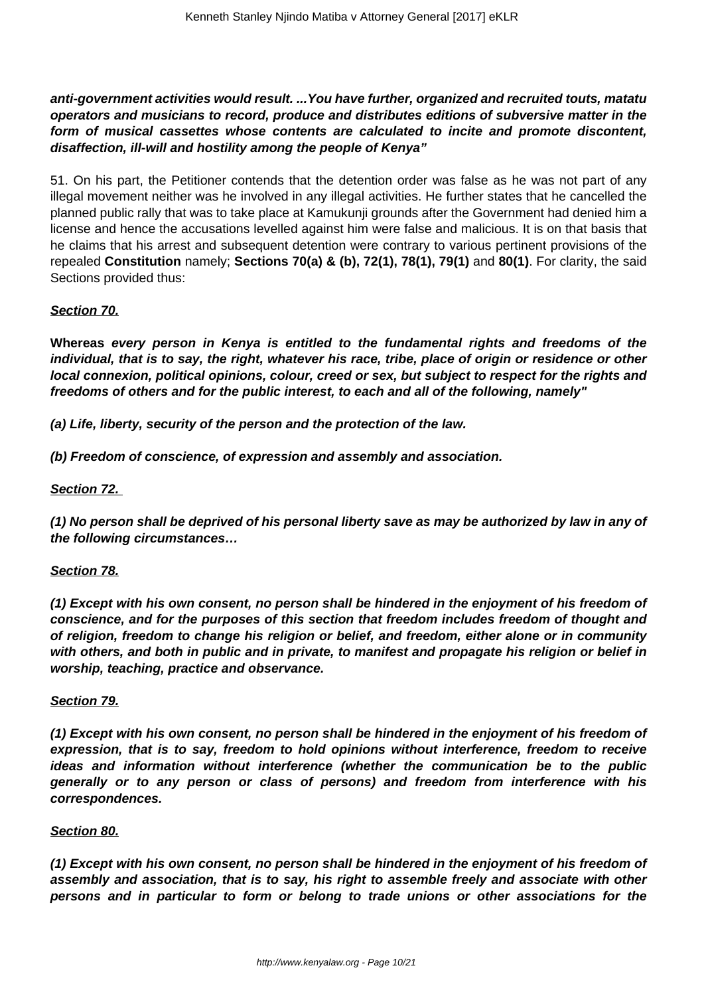**anti-government activities would result. ...You have further, organized and recruited touts, matatu operators and musicians to record, produce and distributes editions of subversive matter in the form of musical cassettes whose contents are calculated to incite and promote discontent, disaffection, ill-will and hostility among the people of Kenya"** 

51. On his part, the Petitioner contends that the detention order was false as he was not part of any illegal movement neither was he involved in any illegal activities. He further states that he cancelled the planned public rally that was to take place at Kamukunji grounds after the Government had denied him a license and hence the accusations levelled against him were false and malicious. It is on that basis that he claims that his arrest and subsequent detention were contrary to various pertinent provisions of the repealed **Constitution** namely; **Sections 70(a) & (b), 72(1), 78(1), 79(1)** and **80(1)**. For clarity, the said Sections provided thus:

# **Section 70.**

**Whereas every person in Kenya is entitled to the fundamental rights and freedoms of the individual, that is to say, the right, whatever his race, tribe, place of origin or residence or other local connexion, political opinions, colour, creed or sex, but subject to respect for the rights and freedoms of others and for the public interest, to each and all of the following, namely"**

**(a) Life, liberty, security of the person and the protection of the law.**

**(b) Freedom of conscience, of expression and assembly and association.**

#### **Section 72.**

**(1) No person shall be deprived of his personal liberty save as may be authorized by law in any of the following circumstances…**

#### **Section 78.**

**(1) Except with his own consent, no person shall be hindered in the enjoyment of his freedom of conscience, and for the purposes of this section that freedom includes freedom of thought and of religion, freedom to change his religion or belief, and freedom, either alone or in community with others, and both in public and in private, to manifest and propagate his religion or belief in worship, teaching, practice and observance.** 

#### **Section 79.**

**(1) Except with his own consent, no person shall be hindered in the enjoyment of his freedom of expression, that is to say, freedom to hold opinions without interference, freedom to receive ideas and information without interference (whether the communication be to the public generally or to any person or class of persons) and freedom from interference with his correspondences.** 

#### **Section 80.**

**(1) Except with his own consent, no person shall be hindered in the enjoyment of his freedom of assembly and association, that is to say, his right to assemble freely and associate with other persons and in particular to form or belong to trade unions or other associations for the**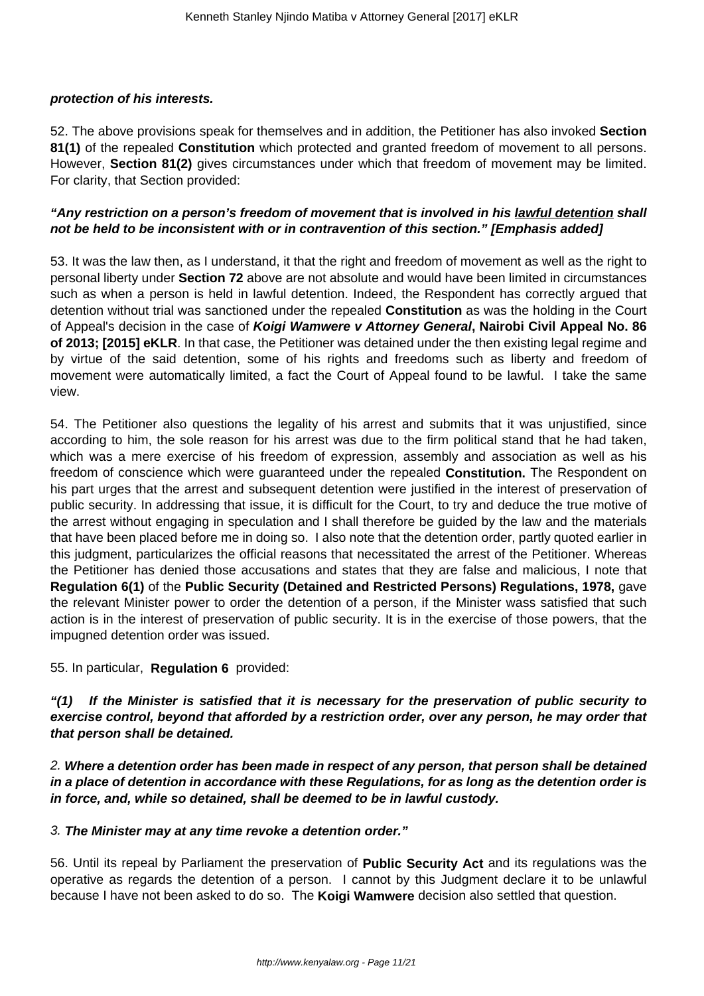#### **protection of his interests.**

52. The above provisions speak for themselves and in addition, the Petitioner has also invoked **Section 81(1)** of the repealed **Constitution** which protected and granted freedom of movement to all persons. However, **Section 81(2)** gives circumstances under which that freedom of movement may be limited. For clarity, that Section provided:

# **"Any restriction on a person's freedom of movement that is involved in his lawful detention shall not be held to be inconsistent with or in contravention of this section." [Emphasis added]**

53. It was the law then, as I understand, it that the right and freedom of movement as well as the right to personal liberty under **Section 72** above are not absolute and would have been limited in circumstances such as when a person is held in lawful detention. Indeed, the Respondent has correctly argued that detention without trial was sanctioned under the repealed **Constitution** as was the holding in the Court of Appeal's decision in the case of **Koigi Wamwere v Attorney General, Nairobi Civil Appeal No. 86 of 2013; [2015] eKLR**. In that case, the Petitioner was detained under the then existing legal regime and by virtue of the said detention, some of his rights and freedoms such as liberty and freedom of movement were automatically limited, a fact the Court of Appeal found to be lawful. I take the same view.

54. The Petitioner also questions the legality of his arrest and submits that it was unjustified, since according to him, the sole reason for his arrest was due to the firm political stand that he had taken, which was a mere exercise of his freedom of expression, assembly and association as well as his freedom of conscience which were guaranteed under the repealed **Constitution.** The Respondent on his part urges that the arrest and subsequent detention were justified in the interest of preservation of public security. In addressing that issue, it is difficult for the Court, to try and deduce the true motive of the arrest without engaging in speculation and I shall therefore be guided by the law and the materials that have been placed before me in doing so. I also note that the detention order, partly quoted earlier in this judgment, particularizes the official reasons that necessitated the arrest of the Petitioner. Whereas the Petitioner has denied those accusations and states that they are false and malicious, I note that **Regulation 6(1)** of the **Public Security (Detained and Restricted Persons) Regulations, 1978,** gave the relevant Minister power to order the detention of a person, if the Minister wass satisfied that such action is in the interest of preservation of public security. It is in the exercise of those powers, that the impugned detention order was issued.

55. In particular, **Regulation 6** provided:

# **"(1) If the Minister is satisfied that it is necessary for the preservation of public security to exercise control, beyond that afforded by a restriction order, over any person, he may order that that person shall be detained.**

2. **Where a detention order has been made in respect of any person, that person shall be detained in a place of detention in accordance with these Regulations, for as long as the detention order is in force, and, while so detained, shall be deemed to be in lawful custody.**

# 3. **The Minister may at any time revoke a detention order."**

56. Until its repeal by Parliament the preservation of **Public Security Act** and its regulations was the operative as regards the detention of a person. I cannot by this Judgment declare it to be unlawful because I have not been asked to do so. The **Koigi Wamwere** decision also settled that question.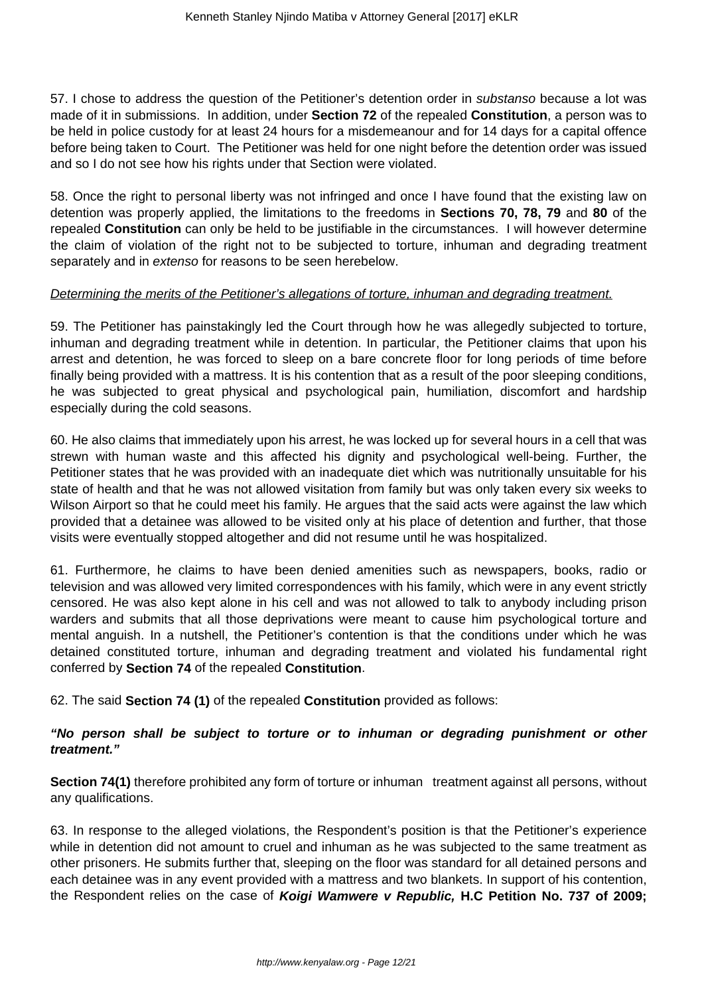57. I chose to address the question of the Petitioner's detention order in *substanso* because a lot was made of it in submissions. In addition, under **Section 72** of the repealed **Constitution**, a person was to be held in police custody for at least 24 hours for a misdemeanour and for 14 days for a capital offence before being taken to Court. The Petitioner was held for one night before the detention order was issued and so I do not see how his rights under that Section were violated.

58. Once the right to personal liberty was not infringed and once I have found that the existing law on detention was properly applied, the limitations to the freedoms in **Sections 70, 78, 79** and **80** of the repealed **Constitution** can only be held to be justifiable in the circumstances. I will however determine the claim of violation of the right not to be subjected to torture, inhuman and degrading treatment separately and in extenso for reasons to be seen herebelow.

#### Determining the merits of the Petitioner's allegations of torture, inhuman and degrading treatment.

59. The Petitioner has painstakingly led the Court through how he was allegedly subjected to torture, inhuman and degrading treatment while in detention. In particular, the Petitioner claims that upon his arrest and detention, he was forced to sleep on a bare concrete floor for long periods of time before finally being provided with a mattress. It is his contention that as a result of the poor sleeping conditions, he was subjected to great physical and psychological pain, humiliation, discomfort and hardship especially during the cold seasons.

60. He also claims that immediately upon his arrest, he was locked up for several hours in a cell that was strewn with human waste and this affected his dignity and psychological well-being. Further, the Petitioner states that he was provided with an inadequate diet which was nutritionally unsuitable for his state of health and that he was not allowed visitation from family but was only taken every six weeks to Wilson Airport so that he could meet his family. He argues that the said acts were against the law which provided that a detainee was allowed to be visited only at his place of detention and further, that those visits were eventually stopped altogether and did not resume until he was hospitalized.

61. Furthermore, he claims to have been denied amenities such as newspapers, books, radio or television and was allowed very limited correspondences with his family, which were in any event strictly censored. He was also kept alone in his cell and was not allowed to talk to anybody including prison warders and submits that all those deprivations were meant to cause him psychological torture and mental anguish. In a nutshell, the Petitioner's contention is that the conditions under which he was detained constituted torture, inhuman and degrading treatment and violated his fundamental right conferred by **Section 74** of the repealed **Constitution**.

62. The said **Section 74 (1)** of the repealed **Constitution** provided as follows:

# **"No person shall be subject to torture or to inhuman or degrading punishment or other treatment."**

**Section 74(1)** therefore prohibited any form of torture or inhuman treatment against all persons, without any qualifications.

63. In response to the alleged violations, the Respondent's position is that the Petitioner's experience while in detention did not amount to cruel and inhuman as he was subjected to the same treatment as other prisoners. He submits further that, sleeping on the floor was standard for all detained persons and each detainee was in any event provided with a mattress and two blankets. In support of his contention, the Respondent relies on the case of **Koigi Wamwere v Republic, H.C Petition No. 737 of 2009;**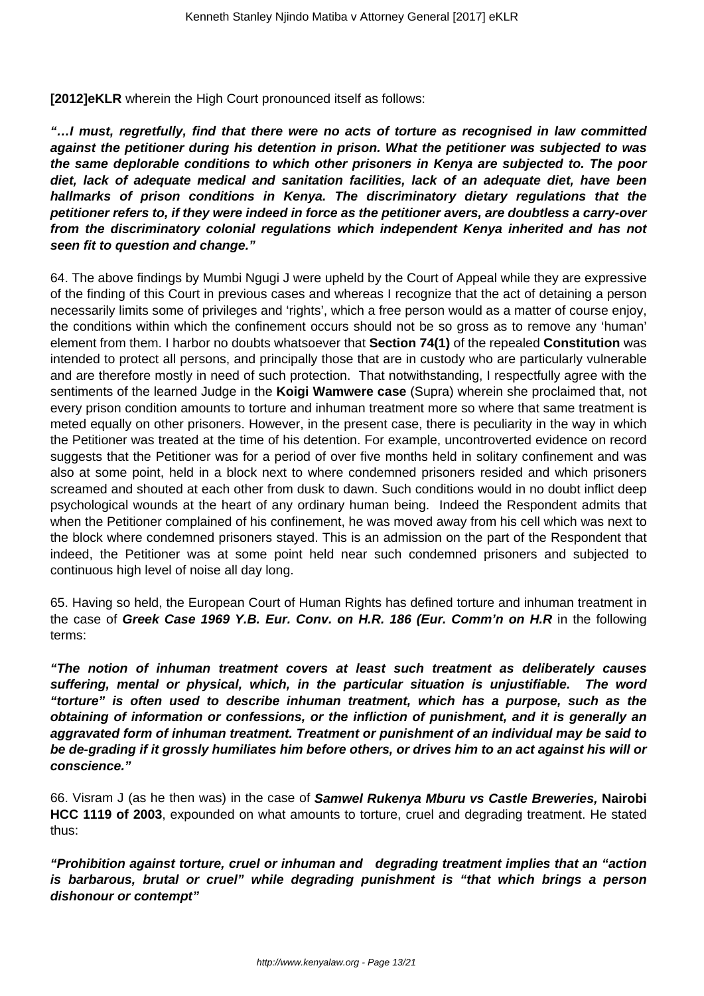**[2012]eKLR** wherein the High Court pronounced itself as follows:

**"…I must, regretfully, find that there were no acts of torture as recognised in law committed against the petitioner during his detention in prison. What the petitioner was subjected to was the same deplorable conditions to which other prisoners in Kenya are subjected to. The poor diet, lack of adequate medical and sanitation facilities, lack of an adequate diet, have been hallmarks of prison conditions in Kenya. The discriminatory dietary regulations that the petitioner refers to, if they were indeed in force as the petitioner avers, are doubtless a carry-over from the discriminatory colonial regulations which independent Kenya inherited and has not seen fit to question and change."** 

64. The above findings by Mumbi Ngugi J were upheld by the Court of Appeal while they are expressive of the finding of this Court in previous cases and whereas I recognize that the act of detaining a person necessarily limits some of privileges and 'rights', which a free person would as a matter of course enjoy, the conditions within which the confinement occurs should not be so gross as to remove any 'human' element from them. I harbor no doubts whatsoever that **Section 74(1)** of the repealed **Constitution** was intended to protect all persons, and principally those that are in custody who are particularly vulnerable and are therefore mostly in need of such protection. That notwithstanding, I respectfully agree with the sentiments of the learned Judge in the **Koigi Wamwere case** (Supra) wherein she proclaimed that, not every prison condition amounts to torture and inhuman treatment more so where that same treatment is meted equally on other prisoners. However, in the present case, there is peculiarity in the way in which the Petitioner was treated at the time of his detention. For example, uncontroverted evidence on record suggests that the Petitioner was for a period of over five months held in solitary confinement and was also at some point, held in a block next to where condemned prisoners resided and which prisoners screamed and shouted at each other from dusk to dawn. Such conditions would in no doubt inflict deep psychological wounds at the heart of any ordinary human being. Indeed the Respondent admits that when the Petitioner complained of his confinement, he was moved away from his cell which was next to the block where condemned prisoners stayed. This is an admission on the part of the Respondent that indeed, the Petitioner was at some point held near such condemned prisoners and subjected to continuous high level of noise all day long.

65. Having so held, the European Court of Human Rights has defined torture and inhuman treatment in the case of **Greek Case 1969 Y.B. Eur. Conv. on H.R. 186 (Eur. Comm'n on H.R** in the following terms:

**"The notion of inhuman treatment covers at least such treatment as deliberately causes suffering, mental or physical, which, in the particular situation is unjustifiable. The word "torture" is often used to describe inhuman treatment, which has a purpose, such as the obtaining of information or confessions, or the infliction of punishment, and it is generally an aggravated form of inhuman treatment. Treatment or punishment of an individual may be said to be de-grading if it grossly humiliates him before others, or drives him to an act against his will or conscience."**

66. Visram J (as he then was) in the case of **Samwel Rukenya Mburu vs Castle Breweries, Nairobi HCC 1119 of 2003**, expounded on what amounts to torture, cruel and degrading treatment. He stated thus:

**"Prohibition against torture, cruel or inhuman and degrading treatment implies that an "action is barbarous, brutal or cruel" while degrading punishment is "that which brings a person dishonour or contempt"**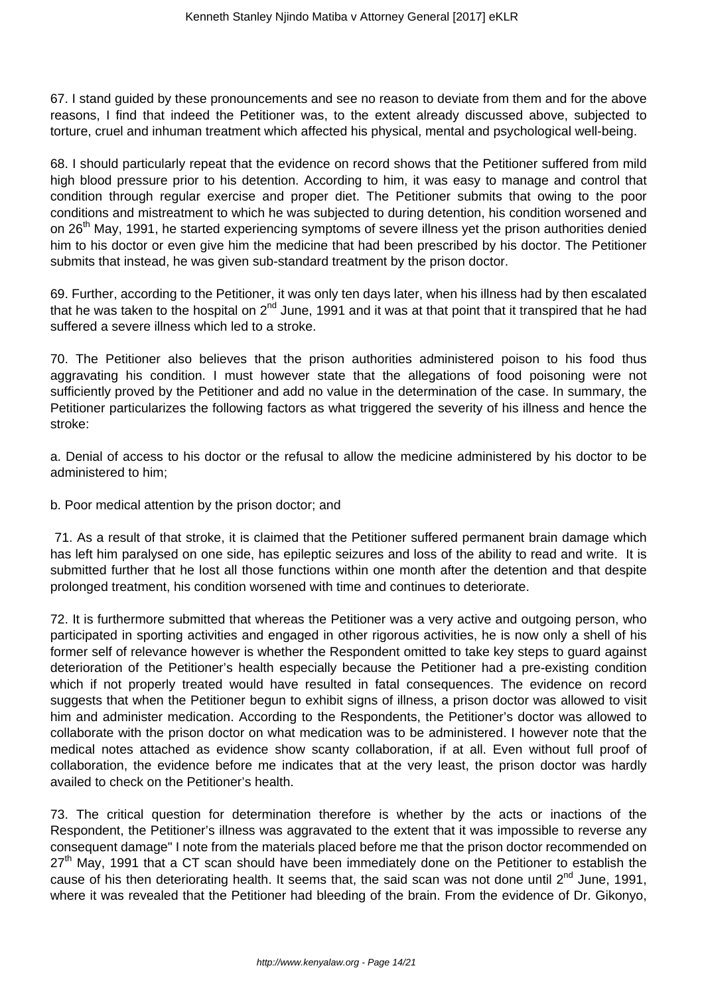67. I stand guided by these pronouncements and see no reason to deviate from them and for the above reasons, I find that indeed the Petitioner was, to the extent already discussed above, subjected to torture, cruel and inhuman treatment which affected his physical, mental and psychological well-being.

68. I should particularly repeat that the evidence on record shows that the Petitioner suffered from mild high blood pressure prior to his detention. According to him, it was easy to manage and control that condition through regular exercise and proper diet. The Petitioner submits that owing to the poor conditions and mistreatment to which he was subjected to during detention, his condition worsened and on 26<sup>th</sup> May, 1991, he started experiencing symptoms of severe illness yet the prison authorities denied him to his doctor or even give him the medicine that had been prescribed by his doctor. The Petitioner submits that instead, he was given sub-standard treatment by the prison doctor.

69. Further, according to the Petitioner, it was only ten days later, when his illness had by then escalated that he was taken to the hospital on  $2^{nd}$  June, 1991 and it was at that point that it transpired that he had suffered a severe illness which led to a stroke.

70. The Petitioner also believes that the prison authorities administered poison to his food thus aggravating his condition. I must however state that the allegations of food poisoning were not sufficiently proved by the Petitioner and add no value in the determination of the case. In summary, the Petitioner particularizes the following factors as what triggered the severity of his illness and hence the stroke:

a. Denial of access to his doctor or the refusal to allow the medicine administered by his doctor to be administered to him;

b. Poor medical attention by the prison doctor; and

71. As a result of that stroke, it is claimed that the Petitioner suffered permanent brain damage which has left him paralysed on one side, has epileptic seizures and loss of the ability to read and write. It is submitted further that he lost all those functions within one month after the detention and that despite prolonged treatment, his condition worsened with time and continues to deteriorate.

72. It is furthermore submitted that whereas the Petitioner was a very active and outgoing person, who participated in sporting activities and engaged in other rigorous activities, he is now only a shell of his former self of relevance however is whether the Respondent omitted to take key steps to guard against deterioration of the Petitioner's health especially because the Petitioner had a pre-existing condition which if not properly treated would have resulted in fatal consequences. The evidence on record suggests that when the Petitioner begun to exhibit signs of illness, a prison doctor was allowed to visit him and administer medication. According to the Respondents, the Petitioner's doctor was allowed to collaborate with the prison doctor on what medication was to be administered. I however note that the medical notes attached as evidence show scanty collaboration, if at all. Even without full proof of collaboration, the evidence before me indicates that at the very least, the prison doctor was hardly availed to check on the Petitioner's health.

73. The critical question for determination therefore is whether by the acts or inactions of the Respondent, the Petitioner's illness was aggravated to the extent that it was impossible to reverse any consequent damage" I note from the materials placed before me that the prison doctor recommended on  $27<sup>th</sup>$  May, 1991 that a CT scan should have been immediately done on the Petitioner to establish the cause of his then deteriorating health. It seems that, the said scan was not done until 2<sup>nd</sup> June, 1991, where it was revealed that the Petitioner had bleeding of the brain. From the evidence of Dr. Gikonyo,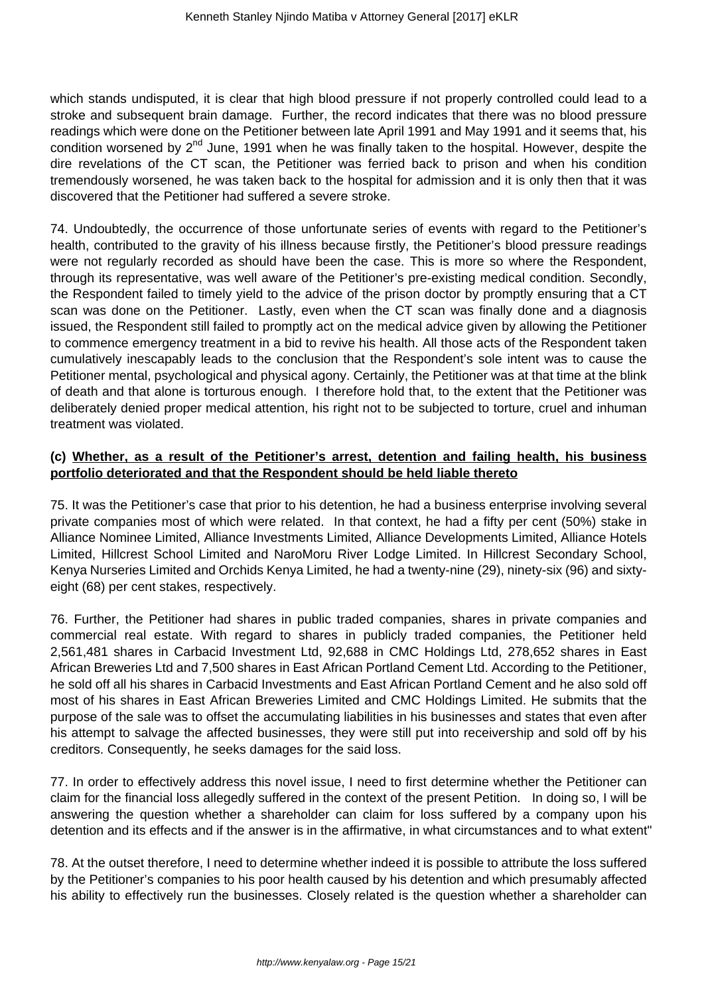which stands undisputed, it is clear that high blood pressure if not properly controlled could lead to a stroke and subsequent brain damage. Further, the record indicates that there was no blood pressure readings which were done on the Petitioner between late April 1991 and May 1991 and it seems that, his condition worsened by  $2^{nd}$  June, 1991 when he was finally taken to the hospital. However, despite the dire revelations of the CT scan, the Petitioner was ferried back to prison and when his condition tremendously worsened, he was taken back to the hospital for admission and it is only then that it was discovered that the Petitioner had suffered a severe stroke.

74. Undoubtedly, the occurrence of those unfortunate series of events with regard to the Petitioner's health, contributed to the gravity of his illness because firstly, the Petitioner's blood pressure readings were not regularly recorded as should have been the case. This is more so where the Respondent, through its representative, was well aware of the Petitioner's pre-existing medical condition. Secondly, the Respondent failed to timely yield to the advice of the prison doctor by promptly ensuring that a CT scan was done on the Petitioner. Lastly, even when the CT scan was finally done and a diagnosis issued, the Respondent still failed to promptly act on the medical advice given by allowing the Petitioner to commence emergency treatment in a bid to revive his health. All those acts of the Respondent taken cumulatively inescapably leads to the conclusion that the Respondent's sole intent was to cause the Petitioner mental, psychological and physical agony. Certainly, the Petitioner was at that time at the blink of death and that alone is torturous enough. I therefore hold that, to the extent that the Petitioner was deliberately denied proper medical attention, his right not to be subjected to torture, cruel and inhuman treatment was violated.

# **(c) Whether, as a result of the Petitioner's arrest, detention and failing health, his business portfolio deteriorated and that the Respondent should be held liable thereto**

75. It was the Petitioner's case that prior to his detention, he had a business enterprise involving several private companies most of which were related. In that context, he had a fifty per cent (50%) stake in Alliance Nominee Limited, Alliance Investments Limited, Alliance Developments Limited, Alliance Hotels Limited, Hillcrest School Limited and NaroMoru River Lodge Limited. In Hillcrest Secondary School, Kenya Nurseries Limited and Orchids Kenya Limited, he had a twenty-nine (29), ninety-six (96) and sixtyeight (68) per cent stakes, respectively.

76. Further, the Petitioner had shares in public traded companies, shares in private companies and commercial real estate. With regard to shares in publicly traded companies, the Petitioner held 2,561,481 shares in Carbacid Investment Ltd, 92,688 in CMC Holdings Ltd, 278,652 shares in East African Breweries Ltd and 7,500 shares in East African Portland Cement Ltd. According to the Petitioner, he sold off all his shares in Carbacid Investments and East African Portland Cement and he also sold off most of his shares in East African Breweries Limited and CMC Holdings Limited. He submits that the purpose of the sale was to offset the accumulating liabilities in his businesses and states that even after his attempt to salvage the affected businesses, they were still put into receivership and sold off by his creditors. Consequently, he seeks damages for the said loss.

77. In order to effectively address this novel issue, I need to first determine whether the Petitioner can claim for the financial loss allegedly suffered in the context of the present Petition. In doing so, I will be answering the question whether a shareholder can claim for loss suffered by a company upon his detention and its effects and if the answer is in the affirmative, in what circumstances and to what extent"

78. At the outset therefore, I need to determine whether indeed it is possible to attribute the loss suffered by the Petitioner's companies to his poor health caused by his detention and which presumably affected his ability to effectively run the businesses. Closely related is the question whether a shareholder can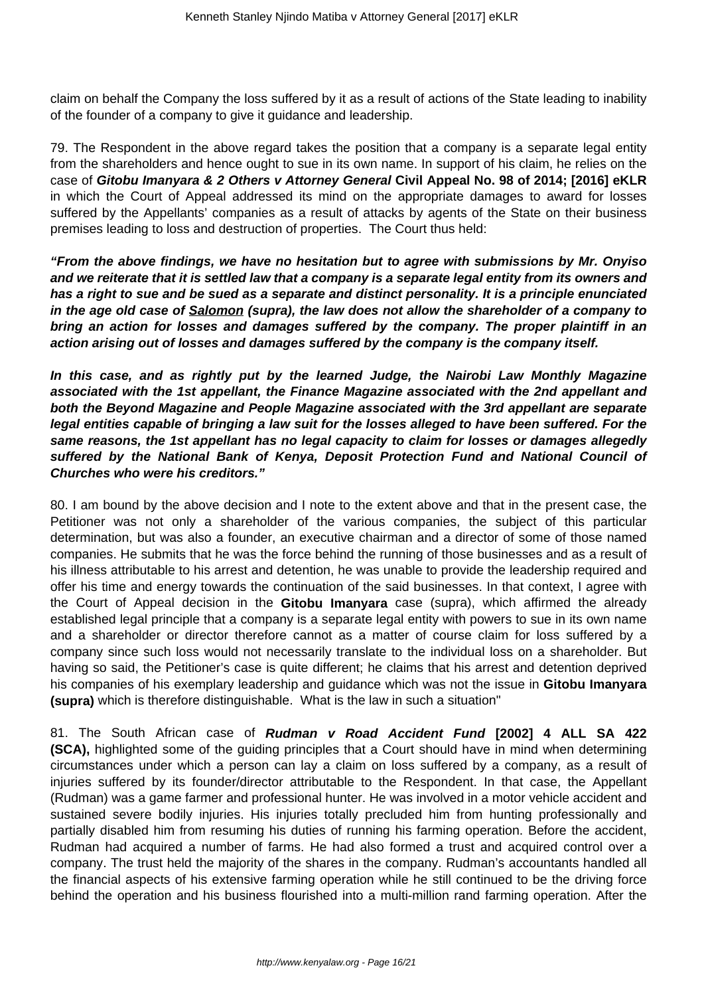claim on behalf the Company the loss suffered by it as a result of actions of the State leading to inability of the founder of a company to give it guidance and leadership.

79. The Respondent in the above regard takes the position that a company is a separate legal entity from the shareholders and hence ought to sue in its own name. In support of his claim, he relies on the case of **Gitobu Imanyara & 2 Others v Attorney General Civil Appeal No. 98 of 2014; [2016] eKLR** in which the Court of Appeal addressed its mind on the appropriate damages to award for losses suffered by the Appellants' companies as a result of attacks by agents of the State on their business premises leading to loss and destruction of properties. The Court thus held:

**"From the above findings, we have no hesitation but to agree with submissions by Mr. Onyiso and we reiterate that it is settled law that a company is a separate legal entity from its owners and has a right to sue and be sued as a separate and distinct personality. It is a principle enunciated in the age old case of Salomon (supra), the law does not allow the shareholder of a company to bring an action for losses and damages suffered by the company. The proper plaintiff in an action arising out of losses and damages suffered by the company is the company itself.**

**In this case, and as rightly put by the learned Judge, the Nairobi Law Monthly Magazine associated with the 1st appellant, the Finance Magazine associated with the 2nd appellant and both the Beyond Magazine and People Magazine associated with the 3rd appellant are separate legal entities capable of bringing a law suit for the losses alleged to have been suffered. For the same reasons, the 1st appellant has no legal capacity to claim for losses or damages allegedly suffered by the National Bank of Kenya, Deposit Protection Fund and National Council of Churches who were his creditors."**

80. I am bound by the above decision and I note to the extent above and that in the present case, the Petitioner was not only a shareholder of the various companies, the subject of this particular determination, but was also a founder, an executive chairman and a director of some of those named companies. He submits that he was the force behind the running of those businesses and as a result of his illness attributable to his arrest and detention, he was unable to provide the leadership required and offer his time and energy towards the continuation of the said businesses. In that context, I agree with the Court of Appeal decision in the **Gitobu Imanyara** case (supra), which affirmed the already established legal principle that a company is a separate legal entity with powers to sue in its own name and a shareholder or director therefore cannot as a matter of course claim for loss suffered by a company since such loss would not necessarily translate to the individual loss on a shareholder. But having so said, the Petitioner's case is quite different; he claims that his arrest and detention deprived his companies of his exemplary leadership and guidance which was not the issue in **Gitobu Imanyara (supra)** which is therefore distinguishable. What is the law in such a situation"

81. The South African case of **Rudman v Road Accident Fund [2002] 4 ALL SA 422 (SCA),** highlighted some of the guiding principles that a Court should have in mind when determining circumstances under which a person can lay a claim on loss suffered by a company, as a result of injuries suffered by its founder/director attributable to the Respondent. In that case, the Appellant (Rudman) was a game farmer and professional hunter. He was involved in a motor vehicle accident and sustained severe bodily injuries. His injuries totally precluded him from hunting professionally and partially disabled him from resuming his duties of running his farming operation. Before the accident, Rudman had acquired a number of farms. He had also formed a trust and acquired control over a company. The trust held the majority of the shares in the company. Rudman's accountants handled all the financial aspects of his extensive farming operation while he still continued to be the driving force behind the operation and his business flourished into a multi-million rand farming operation. After the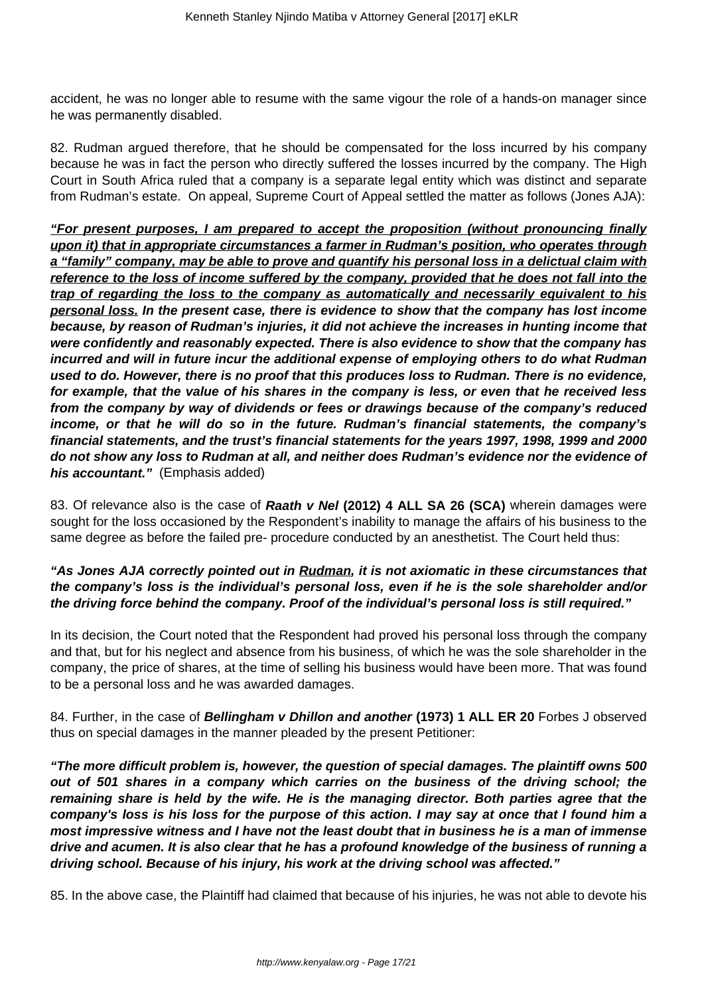accident, he was no longer able to resume with the same vigour the role of a hands-on manager since he was permanently disabled.

82. Rudman argued therefore, that he should be compensated for the loss incurred by his company because he was in fact the person who directly suffered the losses incurred by the company. The High Court in South Africa ruled that a company is a separate legal entity which was distinct and separate from Rudman's estate. On appeal, Supreme Court of Appeal settled the matter as follows (Jones AJA):

**"For present purposes, I am prepared to accept the proposition (without pronouncing finally upon it) that in appropriate circumstances a farmer in Rudman's position, who operates through a "family" company, may be able to prove and quantify his personal loss in a delictual claim with reference to the loss of income suffered by the company, provided that he does not fall into the trap of regarding the loss to the company as automatically and necessarily equivalent to his personal loss. In the present case, there is evidence to show that the company has lost income because, by reason of Rudman's injuries, it did not achieve the increases in hunting income that were confidently and reasonably expected. There is also evidence to show that the company has incurred and will in future incur the additional expense of employing others to do what Rudman used to do. However, there is no proof that this produces loss to Rudman. There is no evidence, for example, that the value of his shares in the company is less, or even that he received less from the company by way of dividends or fees or drawings because of the company's reduced income, or that he will do so in the future. Rudman's financial statements, the company's financial statements, and the trust's financial statements for the years 1997, 1998, 1999 and 2000 do not show any loss to Rudman at all, and neither does Rudman's evidence nor the evidence of his accountant."** (Emphasis added)

83. Of relevance also is the case of **Raath v Nel (2012) 4 ALL SA 26 (SCA)** wherein damages were sought for the loss occasioned by the Respondent's inability to manage the affairs of his business to the same degree as before the failed pre- procedure conducted by an anesthetist. The Court held thus:

# **"As Jones AJA correctly pointed out in Rudman, it is not axiomatic in these circumstances that the company's loss is the individual's personal loss, even if he is the sole shareholder and/or the driving force behind the company. Proof of the individual's personal loss is still required."**

In its decision, the Court noted that the Respondent had proved his personal loss through the company and that, but for his neglect and absence from his business, of which he was the sole shareholder in the company, the price of shares, at the time of selling his business would have been more. That was found to be a personal loss and he was awarded damages.

84. Further, in the case of **Bellingham v Dhillon and another (1973) 1 ALL ER 20** Forbes J observed thus on special damages in the manner pleaded by the present Petitioner:

**"The more difficult problem is, however, the question of special damages. The plaintiff owns 500 out of 501 shares in a company which carries on the business of the driving school; the remaining share is held by the wife. He is the managing director. Both parties agree that the company's loss is his loss for the purpose of this action. I may say at once that I found him a most impressive witness and I have not the least doubt that in business he is a man of immense drive and acumen. It is also clear that he has a profound knowledge of the business of running a driving school. Because of his injury, his work at the driving school was affected."**

85. In the above case, the Plaintiff had claimed that because of his injuries, he was not able to devote his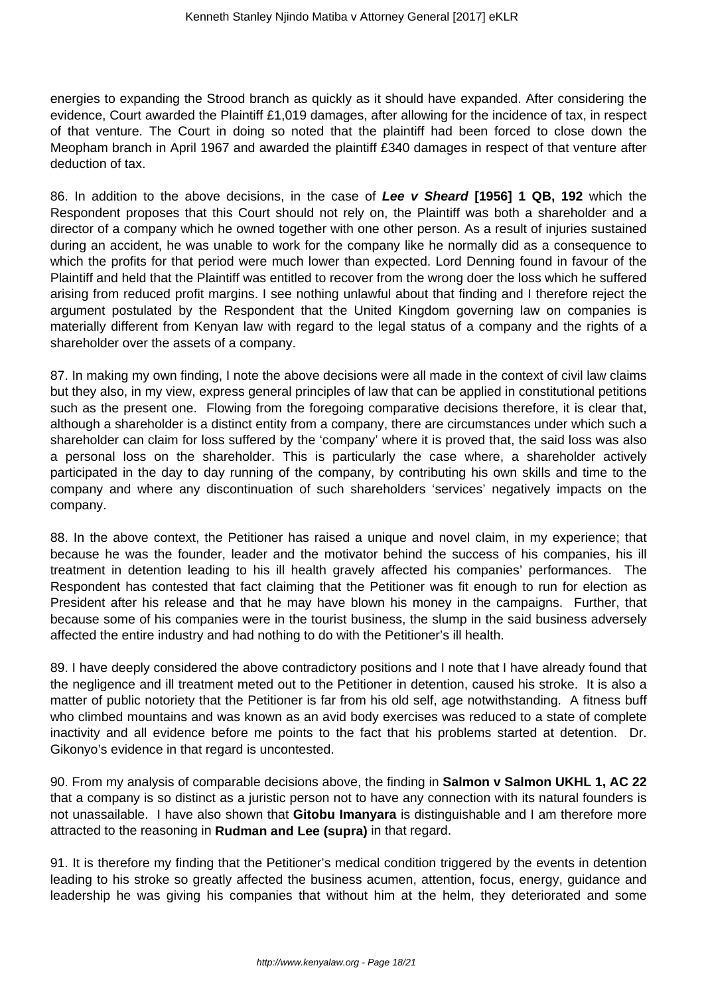energies to expanding the Strood branch as quickly as it should have expanded. After considering the evidence, Court awarded the Plaintiff £1,019 damages, after allowing for the incidence of tax, in respect of that venture. The Court in doing so noted that the plaintiff had been forced to close down the Meopham branch in April 1967 and awarded the plaintiff £340 damages in respect of that venture after deduction of tax.

86. In addition to the above decisions, in the case of **Lee v Sheard [1956] 1 QB, 192** which the Respondent proposes that this Court should not rely on, the Plaintiff was both a shareholder and a director of a company which he owned together with one other person. As a result of injuries sustained during an accident, he was unable to work for the company like he normally did as a consequence to which the profits for that period were much lower than expected. Lord Denning found in favour of the Plaintiff and held that the Plaintiff was entitled to recover from the wrong doer the loss which he suffered arising from reduced profit margins. I see nothing unlawful about that finding and I therefore reject the argument postulated by the Respondent that the United Kingdom governing law on companies is materially different from Kenyan law with regard to the legal status of a company and the rights of a shareholder over the assets of a company.

87. In making my own finding, I note the above decisions were all made in the context of civil law claims but they also, in my view, express general principles of law that can be applied in constitutional petitions such as the present one. Flowing from the foregoing comparative decisions therefore, it is clear that, although a shareholder is a distinct entity from a company, there are circumstances under which such a shareholder can claim for loss suffered by the 'company' where it is proved that, the said loss was also a personal loss on the shareholder. This is particularly the case where, a shareholder actively participated in the day to day running of the company, by contributing his own skills and time to the company and where any discontinuation of such shareholders 'services' negatively impacts on the company.

88. In the above context, the Petitioner has raised a unique and novel claim, in my experience; that because he was the founder, leader and the motivator behind the success of his companies, his ill treatment in detention leading to his ill health gravely affected his companies' performances. The Respondent has contested that fact claiming that the Petitioner was fit enough to run for election as President after his release and that he may have blown his money in the campaigns. Further, that because some of his companies were in the tourist business, the slump in the said business adversely affected the entire industry and had nothing to do with the Petitioner's ill health.

89. I have deeply considered the above contradictory positions and I note that I have already found that the negligence and ill treatment meted out to the Petitioner in detention, caused his stroke. It is also a matter of public notoriety that the Petitioner is far from his old self, age notwithstanding. A fitness buff who climbed mountains and was known as an avid body exercises was reduced to a state of complete inactivity and all evidence before me points to the fact that his problems started at detention. Dr. Gikonyo's evidence in that regard is uncontested.

90. From my analysis of comparable decisions above, the finding in **Salmon v Salmon UKHL 1, AC 22** that a company is so distinct as a juristic person not to have any connection with its natural founders is not unassailable. I have also shown that **Gitobu Imanyara** is distinguishable and I am therefore more attracted to the reasoning in **Rudman and Lee (supra)** in that regard.

91. It is therefore my finding that the Petitioner's medical condition triggered by the events in detention leading to his stroke so greatly affected the business acumen, attention, focus, energy, guidance and leadership he was giving his companies that without him at the helm, they deteriorated and some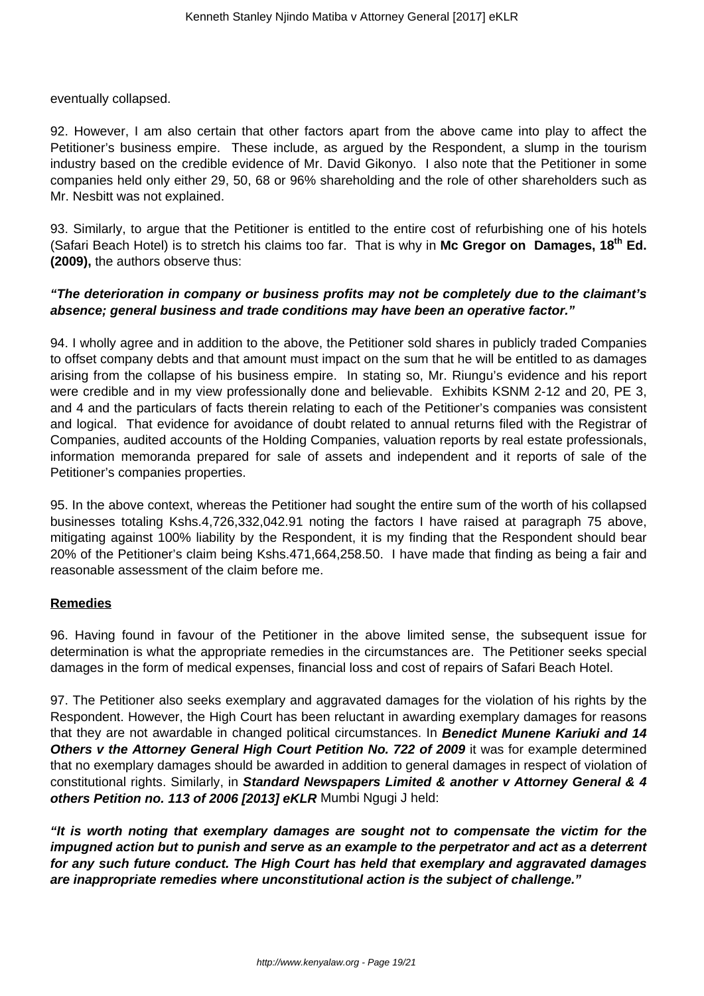eventually collapsed.

92. However, I am also certain that other factors apart from the above came into play to affect the Petitioner's business empire. These include, as argued by the Respondent, a slump in the tourism industry based on the credible evidence of Mr. David Gikonyo. I also note that the Petitioner in some companies held only either 29, 50, 68 or 96% shareholding and the role of other shareholders such as Mr. Nesbitt was not explained.

93. Similarly, to argue that the Petitioner is entitled to the entire cost of refurbishing one of his hotels (Safari Beach Hotel) is to stretch his claims too far. That is why in **Mc Gregor on Damages, 18th Ed. (2009),** the authors observe thus:

# **"The deterioration in company or business profits may not be completely due to the claimant's absence; general business and trade conditions may have been an operative factor."**

94. I wholly agree and in addition to the above, the Petitioner sold shares in publicly traded Companies to offset company debts and that amount must impact on the sum that he will be entitled to as damages arising from the collapse of his business empire. In stating so, Mr. Riungu's evidence and his report were credible and in my view professionally done and believable. Exhibits KSNM 2-12 and 20, PE 3, and 4 and the particulars of facts therein relating to each of the Petitioner's companies was consistent and logical. That evidence for avoidance of doubt related to annual returns filed with the Registrar of Companies, audited accounts of the Holding Companies, valuation reports by real estate professionals, information memoranda prepared for sale of assets and independent and it reports of sale of the Petitioner's companies properties.

95. In the above context, whereas the Petitioner had sought the entire sum of the worth of his collapsed businesses totaling Kshs.4,726,332,042.91 noting the factors I have raised at paragraph 75 above, mitigating against 100% liability by the Respondent, it is my finding that the Respondent should bear 20% of the Petitioner's claim being Kshs.471,664,258.50. I have made that finding as being a fair and reasonable assessment of the claim before me.

# **Remedies**

96. Having found in favour of the Petitioner in the above limited sense, the subsequent issue for determination is what the appropriate remedies in the circumstances are. The Petitioner seeks special damages in the form of medical expenses, financial loss and cost of repairs of Safari Beach Hotel.

97. The Petitioner also seeks exemplary and aggravated damages for the violation of his rights by the Respondent. However, the High Court has been reluctant in awarding exemplary damages for reasons that they are not awardable in changed political circumstances. In **Benedict Munene Kariuki and 14 Others v the Attorney General High Court Petition No. 722 of 2009** it was for example determined that no exemplary damages should be awarded in addition to general damages in respect of violation of constitutional rights. Similarly, in **Standard Newspapers Limited & another v Attorney General & 4 others Petition no. 113 of 2006 [2013] eKLR** Mumbi Ngugi J held:

**"It is worth noting that exemplary damages are sought not to compensate the victim for the impugned action but to punish and serve as an example to the perpetrator and act as a deterrent for any such future conduct. The High Court has held that exemplary and aggravated damages are inappropriate remedies where unconstitutional action is the subject of challenge."**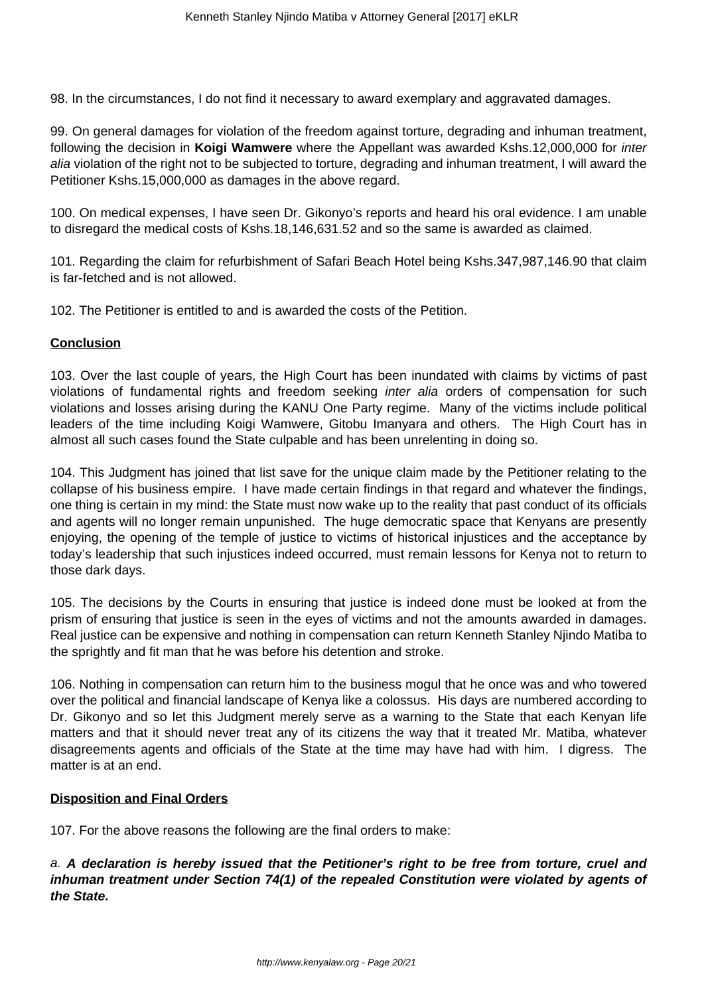98. In the circumstances, I do not find it necessary to award exemplary and aggravated damages.

99. On general damages for violation of the freedom against torture, degrading and inhuman treatment, following the decision in **Koigi Wamwere** where the Appellant was awarded Kshs.12,000,000 for inter alia violation of the right not to be subjected to torture, degrading and inhuman treatment, I will award the Petitioner Kshs.15,000,000 as damages in the above regard.

100. On medical expenses, I have seen Dr. Gikonyo's reports and heard his oral evidence. I am unable to disregard the medical costs of Kshs.18,146,631.52 and so the same is awarded as claimed.

101. Regarding the claim for refurbishment of Safari Beach Hotel being Kshs.347,987,146.90 that claim is far-fetched and is not allowed.

102. The Petitioner is entitled to and is awarded the costs of the Petition.

#### **Conclusion**

103. Over the last couple of years, the High Court has been inundated with claims by victims of past violations of fundamental rights and freedom seeking inter alia orders of compensation for such violations and losses arising during the KANU One Party regime. Many of the victims include political leaders of the time including Koigi Wamwere, Gitobu Imanyara and others. The High Court has in almost all such cases found the State culpable and has been unrelenting in doing so.

104. This Judgment has joined that list save for the unique claim made by the Petitioner relating to the collapse of his business empire. I have made certain findings in that regard and whatever the findings, one thing is certain in my mind: the State must now wake up to the reality that past conduct of its officials and agents will no longer remain unpunished. The huge democratic space that Kenyans are presently enjoying, the opening of the temple of justice to victims of historical injustices and the acceptance by today's leadership that such injustices indeed occurred, must remain lessons for Kenya not to return to those dark days.

105. The decisions by the Courts in ensuring that justice is indeed done must be looked at from the prism of ensuring that justice is seen in the eyes of victims and not the amounts awarded in damages. Real justice can be expensive and nothing in compensation can return Kenneth Stanley Njindo Matiba to the sprightly and fit man that he was before his detention and stroke.

106. Nothing in compensation can return him to the business mogul that he once was and who towered over the political and financial landscape of Kenya like a colossus. His days are numbered according to Dr. Gikonyo and so let this Judgment merely serve as a warning to the State that each Kenyan life matters and that it should never treat any of its citizens the way that it treated Mr. Matiba, whatever disagreements agents and officials of the State at the time may have had with him. I digress. The matter is at an end.

#### **Disposition and Final Orders**

107. For the above reasons the following are the final orders to make:

# a. **A declaration is hereby issued that the Petitioner's right to be free from torture, cruel and inhuman treatment under Section 74(1) of the repealed Constitution were violated by agents of the State.**